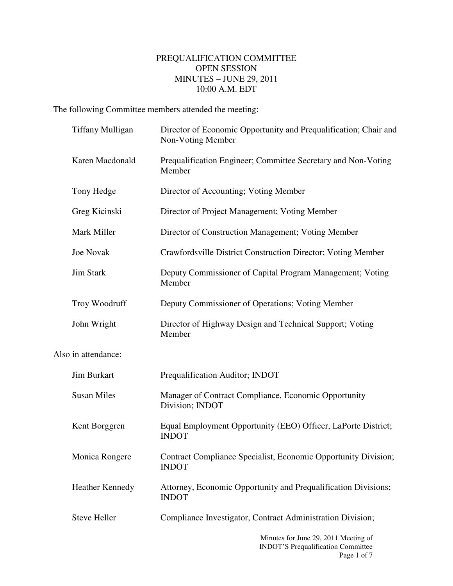## PREQUALIFICATION COMMITTEE OPEN SESSION MINUTES – JUNE 29, 2011 10:00 A.M. EDT

The following Committee members attended the meeting:

| <b>Tiffany Mulligan</b> | Director of Economic Opportunity and Prequalification; Chair and<br>Non-Voting Member |
|-------------------------|---------------------------------------------------------------------------------------|
| Karen Macdonald         | Prequalification Engineer; Committee Secretary and Non-Voting<br>Member               |
| Tony Hedge              | Director of Accounting; Voting Member                                                 |
| Greg Kicinski           | Director of Project Management; Voting Member                                         |
| Mark Miller             | Director of Construction Management; Voting Member                                    |
| Joe Novak               | Crawfordsville District Construction Director; Voting Member                          |
| <b>Jim Stark</b>        | Deputy Commissioner of Capital Program Management; Voting<br>Member                   |
| Troy Woodruff           | Deputy Commissioner of Operations; Voting Member                                      |
| John Wright             | Director of Highway Design and Technical Support; Voting<br>Member                    |
| Also in attendance:     |                                                                                       |
| Jim Burkart             | Prequalification Auditor; INDOT                                                       |
| <b>Susan Miles</b>      | Manager of Contract Compliance, Economic Opportunity<br>Division; INDOT               |
| Kent Borggren           | Equal Employment Opportunity (EEO) Officer, LaPorte District;<br><b>INDOT</b>         |
| Monica Rongere          | Contract Compliance Specialist, Economic Opportunity Division;<br><b>INDOT</b>        |
| <b>Heather Kennedy</b>  | Attorney, Economic Opportunity and Prequalification Divisions;<br><b>INDOT</b>        |
| <b>Steve Heller</b>     | Compliance Investigator, Contract Administration Division;                            |
|                         | Minutes for June 29, 2011 Meeting of<br><b>INDOT'S Prequalification Committee</b>     |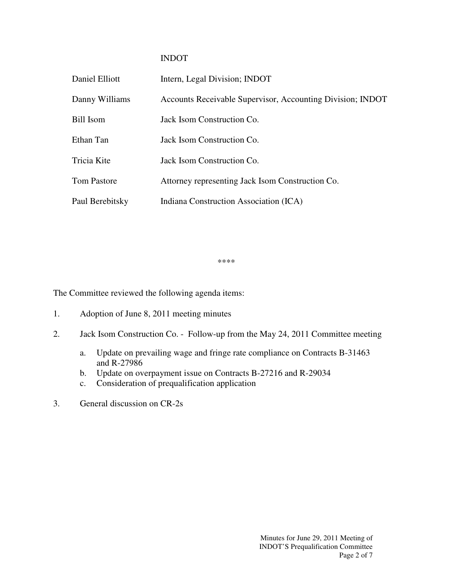## INDOT

| Daniel Elliott     | Intern, Legal Division; INDOT                              |
|--------------------|------------------------------------------------------------|
| Danny Williams     | Accounts Receivable Supervisor, Accounting Division; INDOT |
| Bill Isom          | Jack Isom Construction Co.                                 |
| Ethan Tan          | Jack Isom Construction Co.                                 |
| Tricia Kite        | Jack Isom Construction Co.                                 |
| <b>Tom Pastore</b> | Attorney representing Jack Isom Construction Co.           |
| Paul Berebitsky    | Indiana Construction Association (ICA)                     |

\*\*\*\*

The Committee reviewed the following agenda items:

- 1. Adoption of June 8, 2011 meeting minutes
- 2. Jack Isom Construction Co. Follow-up from the May 24, 2011 Committee meeting
	- a. Update on prevailing wage and fringe rate compliance on Contracts B-31463 and R-27986
	- b. Update on overpayment issue on Contracts B-27216 and R-29034
	- c. Consideration of prequalification application
- 3. General discussion on CR-2s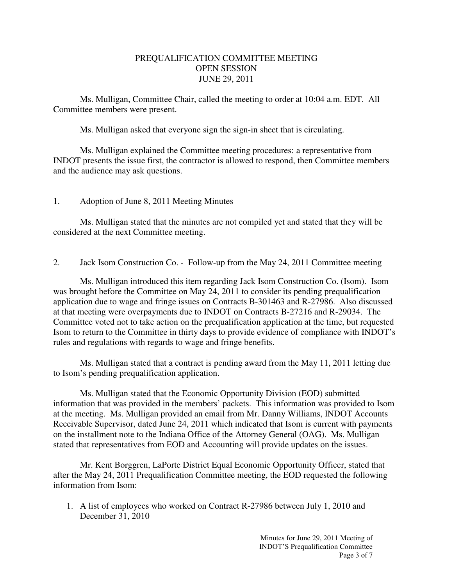## PREQUALIFICATION COMMITTEE MEETING OPEN SESSION JUNE 29, 2011

 Ms. Mulligan, Committee Chair, called the meeting to order at 10:04 a.m. EDT. All Committee members were present.

Ms. Mulligan asked that everyone sign the sign-in sheet that is circulating.

 Ms. Mulligan explained the Committee meeting procedures: a representative from INDOT presents the issue first, the contractor is allowed to respond, then Committee members and the audience may ask questions.

## 1. Adoption of June 8, 2011 Meeting Minutes

 Ms. Mulligan stated that the minutes are not compiled yet and stated that they will be considered at the next Committee meeting.

2. Jack Isom Construction Co. - Follow-up from the May 24, 2011 Committee meeting

Ms. Mulligan introduced this item regarding Jack Isom Construction Co. (Isom). Isom was brought before the Committee on May 24, 2011 to consider its pending prequalification application due to wage and fringe issues on Contracts B-301463 and R-27986. Also discussed at that meeting were overpayments due to INDOT on Contracts B-27216 and R-29034. The Committee voted not to take action on the prequalification application at the time, but requested Isom to return to the Committee in thirty days to provide evidence of compliance with INDOT's rules and regulations with regards to wage and fringe benefits.

Ms. Mulligan stated that a contract is pending award from the May 11, 2011 letting due to Isom's pending prequalification application.

Ms. Mulligan stated that the Economic Opportunity Division (EOD) submitted information that was provided in the members' packets. This information was provided to Isom at the meeting. Ms. Mulligan provided an email from Mr. Danny Williams, INDOT Accounts Receivable Supervisor, dated June 24, 2011 which indicated that Isom is current with payments on the installment note to the Indiana Office of the Attorney General (OAG). Ms. Mulligan stated that representatives from EOD and Accounting will provide updates on the issues.

Mr. Kent Borggren, LaPorte District Equal Economic Opportunity Officer, stated that after the May 24, 2011 Prequalification Committee meeting, the EOD requested the following information from Isom:

1. A list of employees who worked on Contract R-27986 between July 1, 2010 and December 31, 2010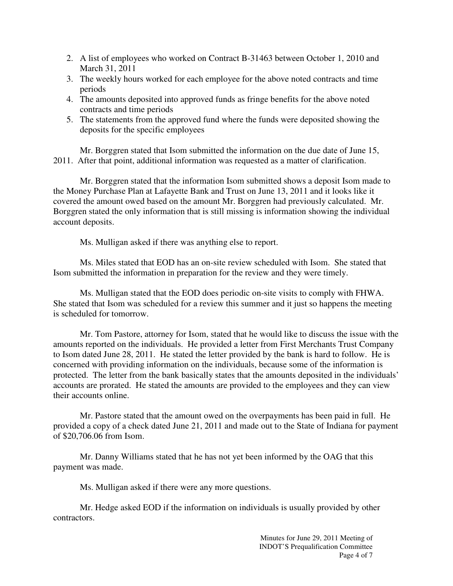- 2. A list of employees who worked on Contract B-31463 between October 1, 2010 and March 31, 2011
- 3. The weekly hours worked for each employee for the above noted contracts and time periods
- 4. The amounts deposited into approved funds as fringe benefits for the above noted contracts and time periods
- 5. The statements from the approved fund where the funds were deposited showing the deposits for the specific employees

Mr. Borggren stated that Isom submitted the information on the due date of June 15, 2011. After that point, additional information was requested as a matter of clarification.

Mr. Borggren stated that the information Isom submitted shows a deposit Isom made to the Money Purchase Plan at Lafayette Bank and Trust on June 13, 2011 and it looks like it covered the amount owed based on the amount Mr. Borggren had previously calculated. Mr. Borggren stated the only information that is still missing is information showing the individual account deposits.

Ms. Mulligan asked if there was anything else to report.

Ms. Miles stated that EOD has an on-site review scheduled with Isom. She stated that Isom submitted the information in preparation for the review and they were timely.

Ms. Mulligan stated that the EOD does periodic on-site visits to comply with FHWA. She stated that Isom was scheduled for a review this summer and it just so happens the meeting is scheduled for tomorrow.

Mr. Tom Pastore, attorney for Isom, stated that he would like to discuss the issue with the amounts reported on the individuals. He provided a letter from First Merchants Trust Company to Isom dated June 28, 2011. He stated the letter provided by the bank is hard to follow. He is concerned with providing information on the individuals, because some of the information is protected. The letter from the bank basically states that the amounts deposited in the individuals' accounts are prorated. He stated the amounts are provided to the employees and they can view their accounts online.

Mr. Pastore stated that the amount owed on the overpayments has been paid in full. He provided a copy of a check dated June 21, 2011 and made out to the State of Indiana for payment of \$20,706.06 from Isom.

Mr. Danny Williams stated that he has not yet been informed by the OAG that this payment was made.

Ms. Mulligan asked if there were any more questions.

Mr. Hedge asked EOD if the information on individuals is usually provided by other contractors.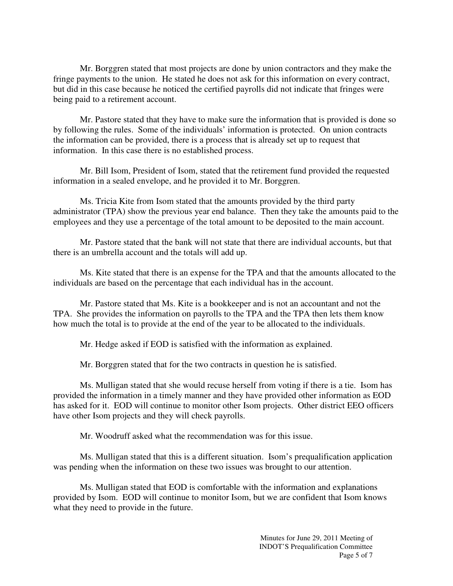Mr. Borggren stated that most projects are done by union contractors and they make the fringe payments to the union. He stated he does not ask for this information on every contract, but did in this case because he noticed the certified payrolls did not indicate that fringes were being paid to a retirement account.

Mr. Pastore stated that they have to make sure the information that is provided is done so by following the rules. Some of the individuals' information is protected. On union contracts the information can be provided, there is a process that is already set up to request that information. In this case there is no established process.

Mr. Bill Isom, President of Isom, stated that the retirement fund provided the requested information in a sealed envelope, and he provided it to Mr. Borggren.

Ms. Tricia Kite from Isom stated that the amounts provided by the third party administrator (TPA) show the previous year end balance. Then they take the amounts paid to the employees and they use a percentage of the total amount to be deposited to the main account.

Mr. Pastore stated that the bank will not state that there are individual accounts, but that there is an umbrella account and the totals will add up.

Ms. Kite stated that there is an expense for the TPA and that the amounts allocated to the individuals are based on the percentage that each individual has in the account.

Mr. Pastore stated that Ms. Kite is a bookkeeper and is not an accountant and not the TPA. She provides the information on payrolls to the TPA and the TPA then lets them know how much the total is to provide at the end of the year to be allocated to the individuals.

Mr. Hedge asked if EOD is satisfied with the information as explained.

Mr. Borggren stated that for the two contracts in question he is satisfied.

Ms. Mulligan stated that she would recuse herself from voting if there is a tie. Isom has provided the information in a timely manner and they have provided other information as EOD has asked for it. EOD will continue to monitor other Isom projects. Other district EEO officers have other Isom projects and they will check payrolls.

Mr. Woodruff asked what the recommendation was for this issue.

Ms. Mulligan stated that this is a different situation. Isom's prequalification application was pending when the information on these two issues was brought to our attention.

Ms. Mulligan stated that EOD is comfortable with the information and explanations provided by Isom. EOD will continue to monitor Isom, but we are confident that Isom knows what they need to provide in the future.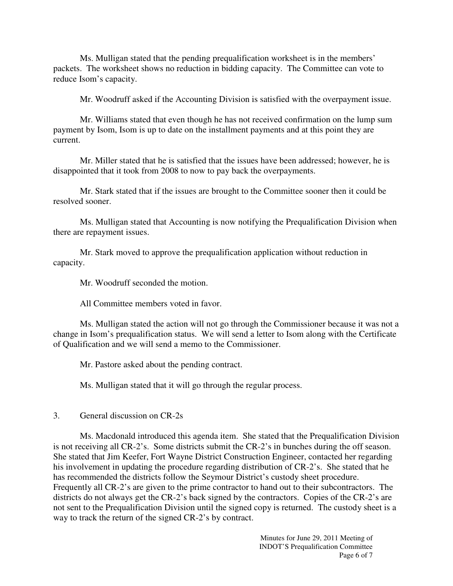Ms. Mulligan stated that the pending prequalification worksheet is in the members' packets. The worksheet shows no reduction in bidding capacity. The Committee can vote to reduce Isom's capacity.

Mr. Woodruff asked if the Accounting Division is satisfied with the overpayment issue.

Mr. Williams stated that even though he has not received confirmation on the lump sum payment by Isom, Isom is up to date on the installment payments and at this point they are current.

Mr. Miller stated that he is satisfied that the issues have been addressed; however, he is disappointed that it took from 2008 to now to pay back the overpayments.

Mr. Stark stated that if the issues are brought to the Committee sooner then it could be resolved sooner.

Ms. Mulligan stated that Accounting is now notifying the Prequalification Division when there are repayment issues.

Mr. Stark moved to approve the prequalification application without reduction in capacity.

Mr. Woodruff seconded the motion.

All Committee members voted in favor.

Ms. Mulligan stated the action will not go through the Commissioner because it was not a change in Isom's prequalification status. We will send a letter to Isom along with the Certificate of Qualification and we will send a memo to the Commissioner.

Mr. Pastore asked about the pending contract.

Ms. Mulligan stated that it will go through the regular process.

3. General discussion on CR-2s

Ms. Macdonald introduced this agenda item. She stated that the Prequalification Division is not receiving all CR-2's. Some districts submit the CR-2's in bunches during the off season. She stated that Jim Keefer, Fort Wayne District Construction Engineer, contacted her regarding his involvement in updating the procedure regarding distribution of CR-2's. She stated that he has recommended the districts follow the Seymour District's custody sheet procedure. Frequently all CR-2's are given to the prime contractor to hand out to their subcontractors. The districts do not always get the CR-2's back signed by the contractors. Copies of the CR-2's are not sent to the Prequalification Division until the signed copy is returned. The custody sheet is a way to track the return of the signed CR-2's by contract.